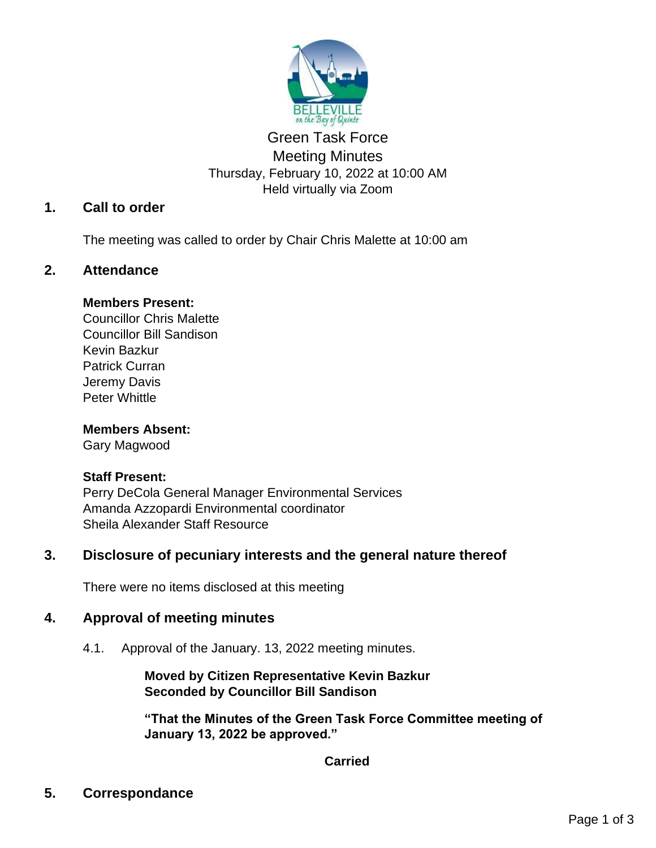

# Green Task Force Meeting Minutes Thursday, February 10, 2022 at 10:00 AM Held virtually via Zoom

# **1. Call to order**

The meeting was called to order by Chair Chris Malette at 10:00 am

## **2. Attendance**

### **Members Present:**

Councillor Chris Malette Councillor Bill Sandison Kevin Bazkur Patrick Curran Jeremy Davis Peter Whittle

### **Members Absent:**

Gary Magwood

### **Staff Present:**

Perry DeCola General Manager Environmental Services Amanda Azzopardi Environmental coordinator Sheila Alexander Staff Resource

## **3. Disclosure of pecuniary interests and the general nature thereof**

There were no items disclosed at this meeting

## **4. Approval of meeting minutes**

4.1. Approval of the January. 13, 2022 meeting minutes.

## **Moved by Citizen Representative Kevin Bazkur Seconded by Councillor Bill Sandison**

**"That the Minutes of the Green Task Force Committee meeting of January 13, 2022 be approved."**

## **Carried**

**5. Correspondance**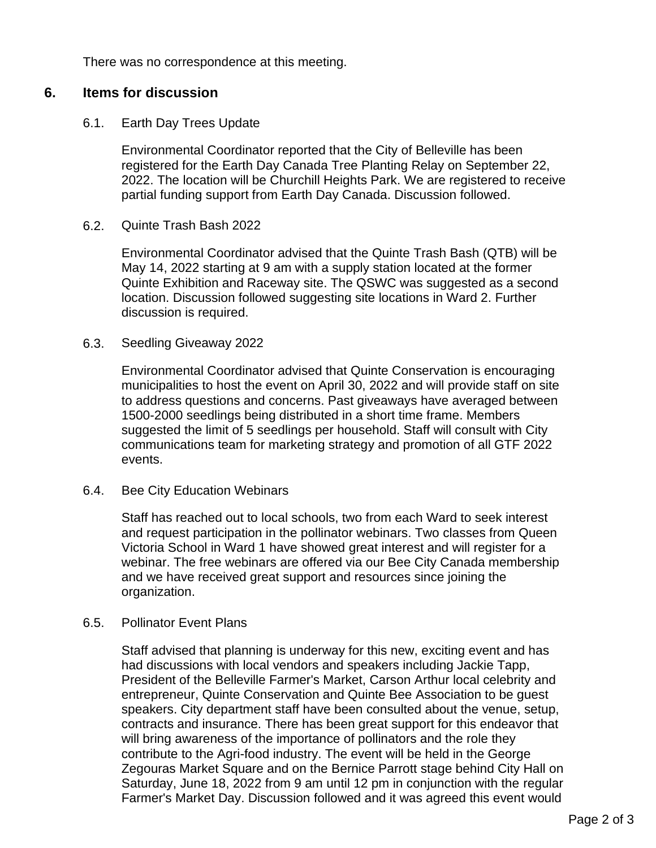There was no correspondence at this meeting.

### **6. Items for discussion**

#### 6.1. Earth Day Trees Update

Environmental Coordinator reported that the City of Belleville has been registered for the Earth Day Canada Tree Planting Relay on September 22, 2022. The location will be Churchill Heights Park. We are registered to receive partial funding support from Earth Day Canada. Discussion followed.

#### 6.2. Quinte Trash Bash 2022

Environmental Coordinator advised that the Quinte Trash Bash (QTB) will be May 14, 2022 starting at 9 am with a supply station located at the former Quinte Exhibition and Raceway site. The QSWC was suggested as a second location. Discussion followed suggesting site locations in Ward 2. Further discussion is required.

#### 6.3. Seedling Giveaway 2022

Environmental Coordinator advised that Quinte Conservation is encouraging municipalities to host the event on April 30, 2022 and will provide staff on site to address questions and concerns. Past giveaways have averaged between 1500-2000 seedlings being distributed in a short time frame. Members suggested the limit of 5 seedlings per household. Staff will consult with City communications team for marketing strategy and promotion of all GTF 2022 events.

#### 6.4. Bee City Education Webinars

Staff has reached out to local schools, two from each Ward to seek interest and request participation in the pollinator webinars. Two classes from Queen Victoria School in Ward 1 have showed great interest and will register for a webinar. The free webinars are offered via our Bee City Canada membership and we have received great support and resources since joining the organization.

#### 6.5. Pollinator Event Plans

Staff advised that planning is underway for this new, exciting event and has had discussions with local vendors and speakers including Jackie Tapp, President of the Belleville Farmer's Market, Carson Arthur local celebrity and entrepreneur, Quinte Conservation and Quinte Bee Association to be guest speakers. City department staff have been consulted about the venue, setup, contracts and insurance. There has been great support for this endeavor that will bring awareness of the importance of pollinators and the role they contribute to the Agri-food industry. The event will be held in the George Zegouras Market Square and on the Bernice Parrott stage behind City Hall on Saturday, June 18, 2022 from 9 am until 12 pm in conjunction with the regular Farmer's Market Day. Discussion followed and it was agreed this event would